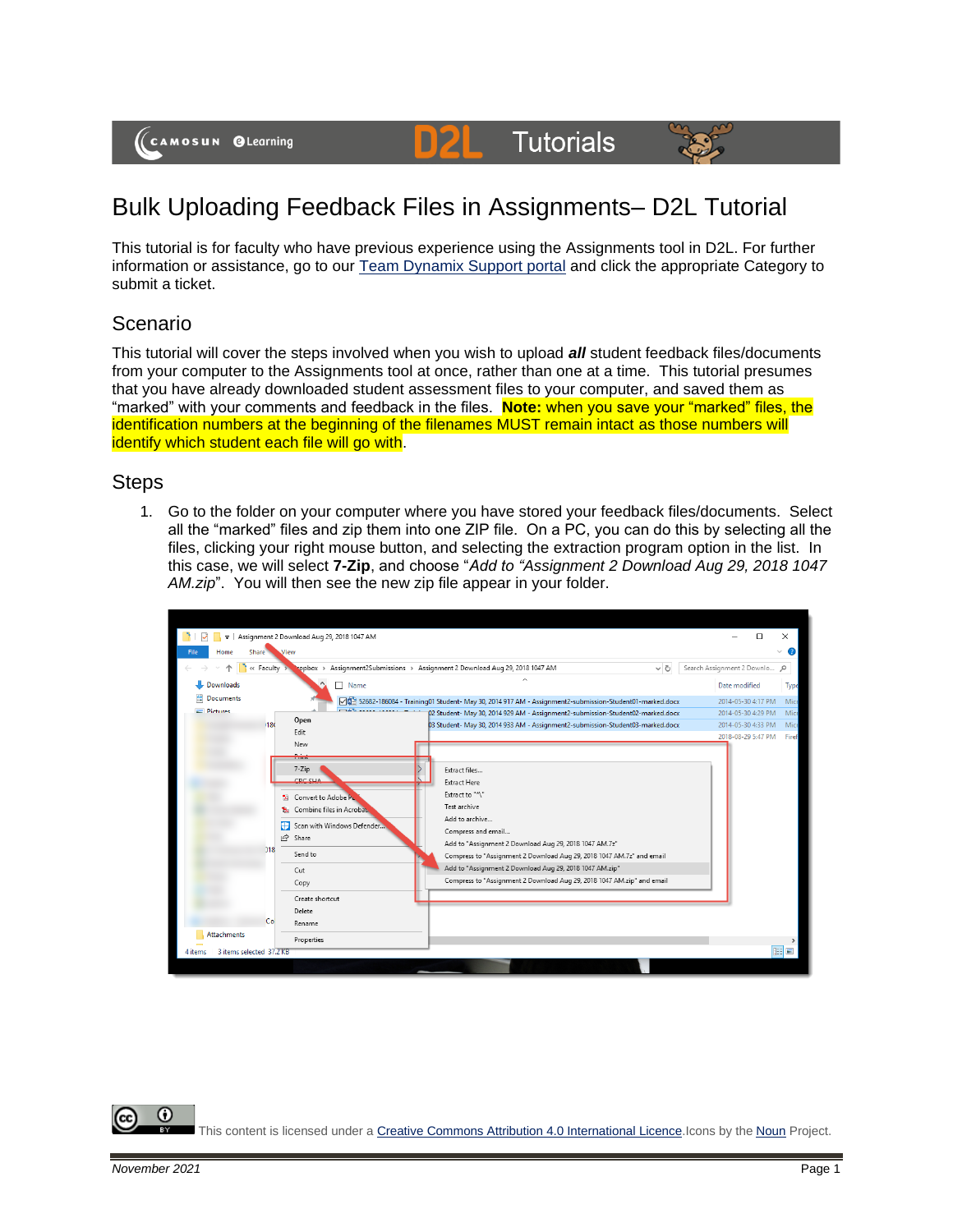(CAMOSUN @Learning

#### DZI **Tutorials**



# Bulk Uploading Feedback Files in Assignments– D2L Tutorial

This tutorial is for faculty who have previous experience using the Assignments tool in D2L. For further information or assistance, go to our [Team Dynamix Support portal](https://camosun.teamdynamix.com/TDClient/67/Portal/Requests/ServiceCatalog?CategoryID=523) and click the appropriate Category to submit a ticket.

# Scenario

This tutorial will cover the steps involved when you wish to upload *all* student feedback files/documents from your computer to the Assignments tool at once, rather than one at a time. This tutorial presumes that you have already downloaded student assessment files to your computer, and saved them as "marked" with your comments and feedback in the files. **Note:** when you save your "marked" files, the identification numbers at the beginning of the filenames MUST remain intact as those numbers will identify which student each file will go with.

## **Steps**

1. Go to the folder on your computer where you have stored your feedback files/documents. Select all the "marked" files and zip them into one ZIP file. On a PC, you can do this by selecting all the files, clicking your right mouse button, and selecting the extraction program option in the list. In this case, we will select **7-Zip**, and choose "*Add to "Assignment 2 Download Aug 29, 2018 1047 AM.zip*". You will then see the new zip file appear in your folder.

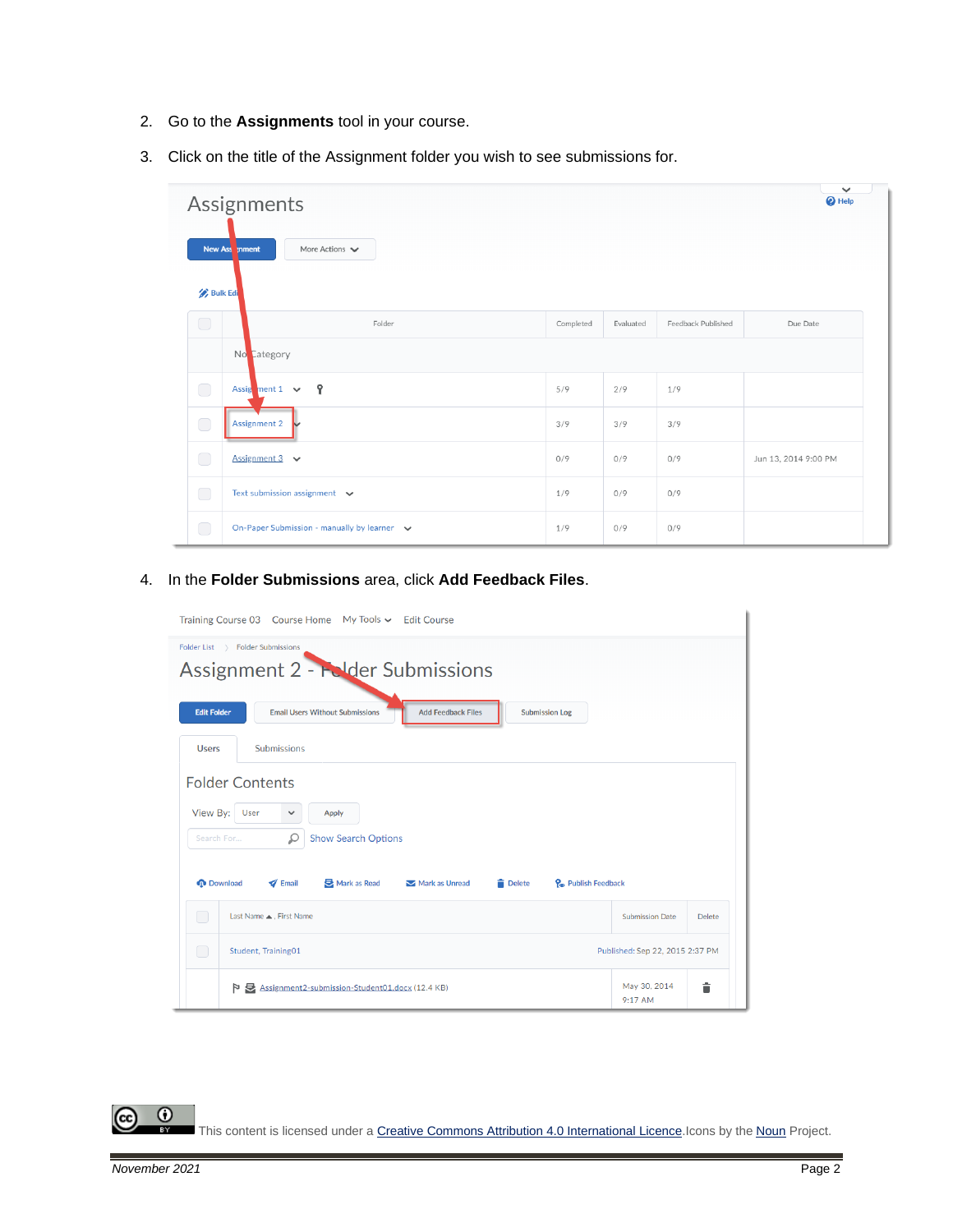- 2. Go to the **Assignments** tool in your course.
- 3. Click on the title of the Assignment folder you wish to see submissions for.

| $\checkmark$<br>Assignments<br><sup>O</sup> Help<br>New Ass mment<br>More Actions $\blacktriangleright$<br><b>Bulk Edi</b> |                                             |           |           |                    |                      |  |
|----------------------------------------------------------------------------------------------------------------------------|---------------------------------------------|-----------|-----------|--------------------|----------------------|--|
| $\bigcirc$                                                                                                                 | Folder                                      | Completed | Evaluated | Feedback Published | Due Date             |  |
|                                                                                                                            | No Category                                 |           |           |                    |                      |  |
| $\bigcirc$                                                                                                                 | Assignment 1 $\vee$ ?                       | 5/9       | 2/9       | 1/9                |                      |  |
| $\bigcirc$                                                                                                                 | <b>Assignment 2</b>                         | 3/9       | 3/9       | 3/9                |                      |  |
| $\bigcirc$                                                                                                                 | Assignment $3 \sim$                         | 0/9       | 0/9       | 0/9                | Jun 13, 2014 9:00 PM |  |
| $\bigcirc$                                                                                                                 | Text submission assignment $\vee$           | 1/9       | 0/9       | 0/9                |                      |  |
| $\bigcirc$                                                                                                                 | On-Paper Submission - manually by learner v | 1/9       | 0/9       | 0/9                |                      |  |

4. In the **Folder Submissions** area, click **Add Feedback Files**.

| Training Course 03 Course Home My Tools v Edit Course                                                                                |                           |               |  |  |  |  |  |  |
|--------------------------------------------------------------------------------------------------------------------------------------|---------------------------|---------------|--|--|--|--|--|--|
| Folder List > Folder Submissions<br>Assignment 2 - Folder Submissions                                                                |                           |               |  |  |  |  |  |  |
| <b>Edit Folder</b><br><b>Email Users Without Submissions</b><br><b>Add Feedback Files</b><br><b>Submission Log</b>                   |                           |               |  |  |  |  |  |  |
| <b>Submissions</b><br><b>Users</b>                                                                                                   |                           |               |  |  |  |  |  |  |
| <b>Folder Contents</b>                                                                                                               |                           |               |  |  |  |  |  |  |
| View By:<br>User<br>Apply<br>$\checkmark$                                                                                            |                           |               |  |  |  |  |  |  |
| Ω<br><b>Show Search Options</b><br>Search For                                                                                        |                           |               |  |  |  |  |  |  |
| <b>Download</b><br>$\blacktriangleright$ Email<br>Mark as Read<br>P <sub>c</sub> Publish Feedback<br>Mark as Unread<br><b>Delete</b> |                           |               |  |  |  |  |  |  |
| ∩<br>Last Name . First Name                                                                                                          | <b>Submission Date</b>    | <b>Delete</b> |  |  |  |  |  |  |
| $\Box$<br>Student, Training01<br>Published: Sep 22, 2015 2:37 PM                                                                     |                           |               |  |  |  |  |  |  |
| Assignment2-submission-Student01.docx (12.4 KB)<br>P                                                                                 | May 30, 2014<br>$9:17$ AM | Ê             |  |  |  |  |  |  |

 $\odot$ This content is licensed under [a Creative Commons Attribution 4.0 International Licence.I](https://creativecommons.org/licenses/by/4.0/)cons by the [Noun](https://creativecommons.org/website-icons/) Project.